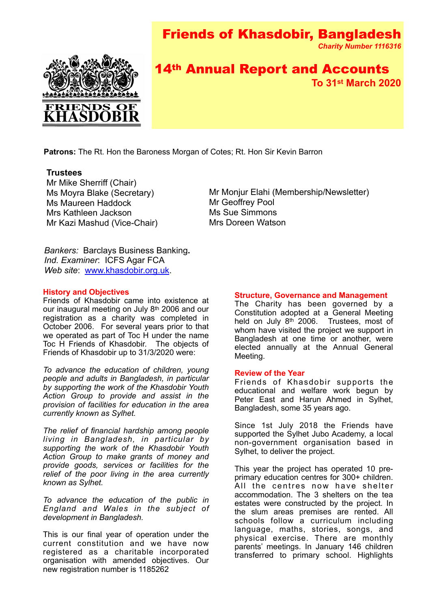# Friends of Khasdobir, Bangladesh





## 14th Annual Report and Accounts **To 31st March 2020**

**Patrons:** The Rt. Hon the Baroness Morgan of Cotes; Rt. Hon Sir Kevin Barron

## **Trustees**

Mr Mike Sherriff (Chair) Ms Moyra Blake (Secretary) Ms Maureen Haddock Mrs Kathleen Jackson Mr Kazi Mashud (Vice-Chair)

Mr Monjur Elahi (Membership/Newsletter) Mr Geoffrey Pool Ms Sue Simmons Mrs Doreen Watson

*Bankers:* Barclays Business Banking**.** *Ind. Examiner*: ICFS Agar FCA *Web site*: [www.khasdobir.org.uk](http://www.khasdobir.org.uk).

## **History and Objectives**

**FISTOLY and Objectives**<br>Friends of Khasdobir came into existence at October 2006. For several years prior to that our inaugural meeting on July 8<sup>th</sup> 2006 and our registration as a charity was completed in we operated as part of Toc H under the name Toc H Friends of Khasdobir. The objects of Friends of Khasdobir up to 31/3/2020 were:

*To advance the education of children, young people and adults in Bangladesh, in particular by supporting the work of the Khasdobir Youth Action Group to provide and assist in the provision of facilities for education in the area currently known as Sylhet.*

*The relief of financial hardship among people living in Bangladesh, in particular by supporting the work of the Khasdobir Youth Action Group to make grants of money and provide goods, services or facilities for the relief of the poor living in the area currently known as Sylhet.*

*To advance the education of the public in England and Wales in the subject of development in Bangladesh.*

This is our final year of operation under the current constitution and we have now registered as a charitable incorporated organisation with amended objectives. Our new registration number is 1185262

## **Structure, Governance and Management**

The Charity has been governed by a Constitution adopted at a General Meeting held on July 8<sup>th</sup> 2006. Trustees, most of whom have visited the project we support in Bangladesh at one time or another, were elected annually at the Annual General Meeting.

## **Review of the Year**

Friends of Khasdobir supports the educational and welfare work begun by Peter East and Harun Ahmed in Sylhet, Bangladesh, some 35 years ago.

Since 1st July 2018 the Friends have supported the Sylhet Jubo Academy, a local non-government organisation based in Sylhet, to deliver the project.

This year the project has operated 10 preprimary education centres for 300+ children. All the centres now have shelter accommodation. The 3 shelters on the tea estates were constructed by the project. In the slum areas premises are rented. All schools follow a curriculum including language, maths, stories, songs, and physical exercise. There are monthly parents' meetings. In January 146 children transferred to primary school. Highlights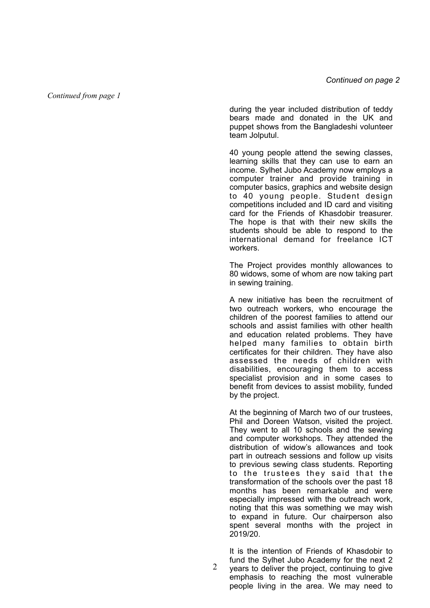*Continued from page 1*

during the year included distribution of teddy bears made and donated in the UK and puppet shows from the Bangladeshi volunteer team Jolputul.

40 young people attend the sewing classes, learning skills that they can use to earn an income. Sylhet Jubo Academy now employs a computer trainer and provide training in computer basics, graphics and website design to 40 young people. Student design competitions included and ID card and visiting card for the Friends of Khasdobir treasurer. The hope is that with their new skills the students should be able to respond to the international demand for freelance ICT workers.

The Project provides monthly allowances to 80 widows, some of whom are now taking part in sewing training.

A new initiative has been the recruitment of two outreach workers, who encourage the children of the poorest families to attend our schools and assist families with other health and education related problems. They have helped many families to obtain birth certificates for their children. They have also assessed the needs of children with disabilities, encouraging them to access specialist provision and in some cases to benefit from devices to assist mobility, funded by the project.

At the beginning of March two of our trustees, Phil and Doreen Watson, visited the project. They went to all 10 schools and the sewing and computer workshops. They attended the distribution of widow's allowances and took part in outreach sessions and follow up visits to previous sewing class students. Reporting to the trustees they said that the transformation of the schools over the past 18 months has been remarkable and were especially impressed with the outreach work, noting that this was something we may wish to expand in future. Our chairperson also spent several months with the project in 2019/20.

It is the intention of Friends of Khasdobir to fund the Sylhet Jubo Academy for the next 2 years to deliver the project, continuing to give emphasis to reaching the most vulnerable people living in the area. We may need to

2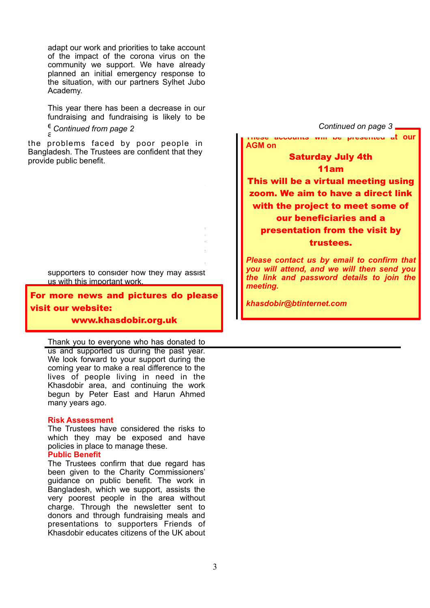adapt our work and priorities to take account of the impact of the corona virus on the community we support. We have already planned an initial emergency response to the situation, with our partners Sylhet Jubo Academy.

This year there has been a decrease in our fundraising and fundraising is likely to be  $\epsilon$  Continued from nage 2

the problems faced by poor people in Bangladesh. The Trustees are confident that they provide public benefit. The annual sponsored sponsored and the annual sponsored  $\sim$ 

> supporters to consider how they may assist us with this important work.

For more news and pictures do please visit our website: with a regular  $\sim$ 

newsletter. We have a new leafletter. We have a new leafletter information of the second information of the se www.khasdobir.org.uk

Thank you to everyone who has donated to

us and supported us during the past year. We look forward to your support during the coming year to make a real difference to the lives of people living in need in the Khasdobir area, and continuing the work begun by Peter East and Harun Ahmed many years ago.

## **Risk Assessment**

The Trustees have considered the risks to which they may be exposed and have policies in place to manage these.

## **Public Benefit**

The Trustees confirm that due regard has been given to the Charity Commissioners' guidance on public benefit. The work in Bangladesh, which we support, assists the very poorest people in the area without charge. Through the newsletter sent to donors and through fundraising meals and presentations to supporters Friends of Khasdobir educates citizens of the UK about



*you will attend, and we will then send you the link and password details to join the meeting.*

*khasdobir@btinternet.com*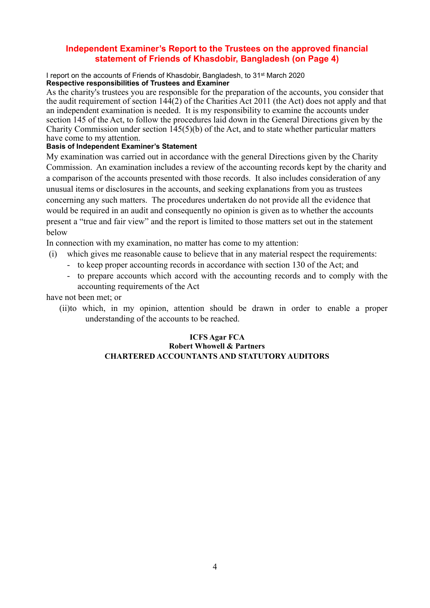## **Independent Examiner's Report to the Trustees on the approved financial statement of Friends of Khasdobir, Bangladesh (on Page 4)**

I report on the accounts of Friends of Khasdobir, Bangladesh, to 31st March 2020 **Respective responsibilities of Trustees and Examiner**

As the charity's trustees you are responsible for the preparation of the accounts, you consider that the audit requirement of section 144(2) of the Charities Act 2011 (the Act) does not apply and that an independent examination is needed. It is my responsibility to examine the accounts under section 145 of the Act, to follow the procedures laid down in the General Directions given by the Charity Commission under section 145(5)(b) of the Act, and to state whether particular matters have come to my attention.

## **Basis of Independent Examiner's Statement**

My examination was carried out in accordance with the general Directions given by the Charity Commission. An examination includes a review of the accounting records kept by the charity and a comparison of the accounts presented with those records. It also includes consideration of any unusual items or disclosures in the accounts, and seeking explanations from you as trustees concerning any such matters. The procedures undertaken do not provide all the evidence that would be required in an audit and consequently no opinion is given as to whether the accounts present a "true and fair view" and the report is limited to those matters set out in the statement below

In connection with my examination, no matter has come to my attention:

- (i) which gives me reasonable cause to believe that in any material respect the requirements:
	- to keep proper accounting records in accordance with section 130 of the Act; and
	- to prepare accounts which accord with the accounting records and to comply with the accounting requirements of the Act

have not been met; or

(ii)to which, in my opinion, attention should be drawn in order to enable a proper understanding of the accounts to be reached.

## **ICFS Agar FCA Robert Whowell & Partners CHARTERED ACCOUNTANTS AND STATUTORY AUDITORS**